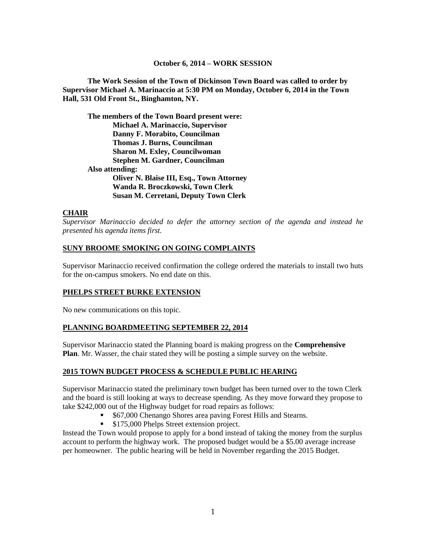#### **October 6, 2014 – WORK SESSION**

**The Work Session of the Town of Dickinson Town Board was called to order by Supervisor Michael A. Marinaccio at 5:30 PM on Monday, October 6, 2014 in the Town Hall, 531 Old Front St., Binghamton, NY.**

**The members of the Town Board present were: Michael A. Marinaccio, Supervisor Danny F. Morabito, Councilman Thomas J. Burns, Councilman Sharon M. Exley, Councilwoman Stephen M. Gardner, Councilman Also attending: Oliver N. Blaise III, Esq., Town Attorney Wanda R. Broczkowski, Town Clerk Susan M. Cerretani, Deputy Town Clerk**

### **CHAIR**

*Supervisor Marinaccio decided to defer the attorney section of the agenda and instead he presented his agenda items first.*

### **SUNY BROOME SMOKING ON GOING COMPLAINTS**

Supervisor Marinaccio received confirmation the college ordered the materials to install two huts for the on-campus smokers. No end date on this.

### **PHELPS STREET BURKE EXTENSION**

No new communications on this topic.

### **PLANNING BOARDMEETING SEPTEMBER 22, 2014**

Supervisor Marinaccio stated the Planning board is making progress on the **Comprehensive Plan**. Mr. Wasser, the chair stated they will be posting a simple survey on the website.

#### **2015 TOWN BUDGET PROCESS & SCHEDULE PUBLIC HEARING**

Supervisor Marinaccio stated the preliminary town budget has been turned over to the town Clerk and the board is still looking at ways to decrease spending. As they move forward they propose to take \$242,000 out of the Highway budget for road repairs as follows:

- \$67,000 Chenango Shores area paving Forest Hills and Stearns.
- **S175,000 Phelps Street extension project.**

Instead the Town would propose to apply for a bond instead of taking the money from the surplus account to perform the highway work. The proposed budget would be a \$5.00 average increase per homeowner. The public hearing will be held in November regarding the 2015 Budget.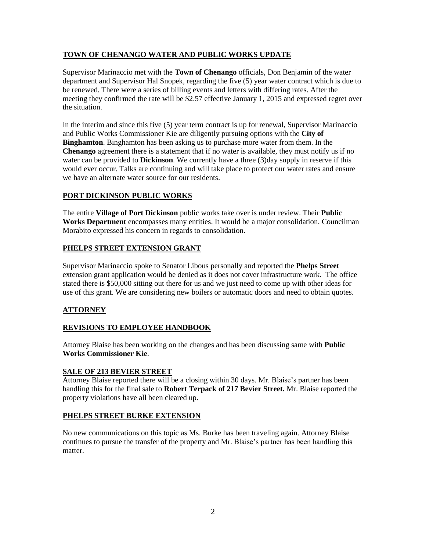## **TOWN OF CHENANGO WATER AND PUBLIC WORKS UPDATE**

Supervisor Marinaccio met with the **Town of Chenango** officials, Don Benjamin of the water department and Supervisor Hal Snopek, regarding the five (5) year water contract which is due to be renewed. There were a series of billing events and letters with differing rates. After the meeting they confirmed the rate will be \$2.57 effective January 1, 2015 and expressed regret over the situation.

In the interim and since this five (5) year term contract is up for renewal, Supervisor Marinaccio and Public Works Commissioner Kie are diligently pursuing options with the **City of Binghamton**. Binghamton has been asking us to purchase more water from them. In the **Chenango** agreement there is a statement that if no water is available, they must notify us if no water can be provided to **Dickinson**. We currently have a three (3)day supply in reserve if this would ever occur. Talks are continuing and will take place to protect our water rates and ensure we have an alternate water source for our residents.

## **PORT DICKINSON PUBLIC WORKS**

The entire **Village of Port Dickinson** public works take over is under review. Their **Public Works Department** encompasses many entities. It would be a major consolidation. Councilman Morabito expressed his concern in regards to consolidation.

## **PHELPS STREET EXTENSION GRANT**

Supervisor Marinaccio spoke to Senator Libous personally and reported the **Phelps Street** extension grant application would be denied as it does not cover infrastructure work. The office stated there is \$50,000 sitting out there for us and we just need to come up with other ideas for use of this grant. We are considering new boilers or automatic doors and need to obtain quotes.

## **ATTORNEY**

## **REVISIONS TO EMPLOYEE HANDBOOK**

Attorney Blaise has been working on the changes and has been discussing same with **Public Works Commissioner Kie**.

### **SALE OF 213 BEVIER STREET**

Attorney Blaise reported there will be a closing within 30 days. Mr. Blaise's partner has been handling this for the final sale to **Robert Terpack of 217 Bevier Street.** Mr. Blaise reported the property violations have all been cleared up.

### **PHELPS STREET BURKE EXTENSION**

No new communications on this topic as Ms. Burke has been traveling again. Attorney Blaise continues to pursue the transfer of the property and Mr. Blaise's partner has been handling this matter.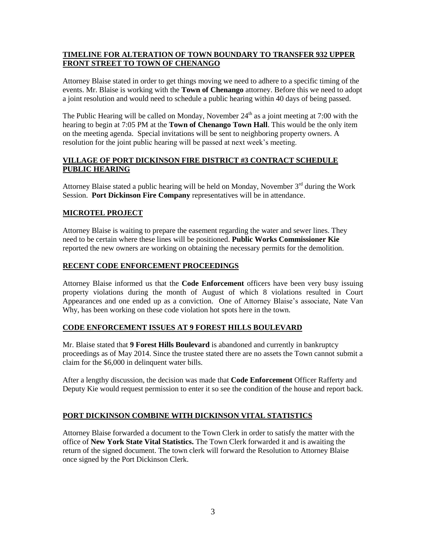## **TIMELINE FOR ALTERATION OF TOWN BOUNDARY TO TRANSFER 932 UPPER FRONT STREET TO TOWN OF CHENANGO**

Attorney Blaise stated in order to get things moving we need to adhere to a specific timing of the events. Mr. Blaise is working with the **Town of Chenango** attorney. Before this we need to adopt a joint resolution and would need to schedule a public hearing within 40 days of being passed.

The Public Hearing will be called on Monday, November  $24<sup>th</sup>$  as a joint meeting at 7:00 with the hearing to begin at 7:05 PM at the **Town of Chenango Town Hall**. This would be the only item on the meeting agenda. Special invitations will be sent to neighboring property owners. A resolution for the joint public hearing will be passed at next week's meeting.

## **VILLAGE OF PORT DICKINSON FIRE DISTRICT #3 CONTRACT SCHEDULE PUBLIC HEARING**

Attorney Blaise stated a public hearing will be held on Monday, November  $3<sup>rd</sup>$  during the Work Session. **Port Dickinson Fire Company** representatives will be in attendance.

# **MICROTEL PROJECT**

Attorney Blaise is waiting to prepare the easement regarding the water and sewer lines. They need to be certain where these lines will be positioned. **Public Works Commissioner Kie** reported the new owners are working on obtaining the necessary permits for the demolition.

### **RECENT CODE ENFORCEMENT PROCEEDINGS**

Attorney Blaise informed us that the **Code Enforcement** officers have been very busy issuing property violations during the month of August of which 8 violations resulted in Court Appearances and one ended up as a conviction. One of Attorney Blaise's associate, Nate Van Why, has been working on these code violation hot spots here in the town.

### **CODE ENFORCEMENT ISSUES AT 9 FOREST HILLS BOULEVARD**

Mr. Blaise stated that **9 Forest Hills Boulevard** is abandoned and currently in bankruptcy proceedings as of May 2014. Since the trustee stated there are no assets the Town cannot submit a claim for the \$6,000 in delinquent water bills.

After a lengthy discussion, the decision was made that **Code Enforcement** Officer Rafferty and Deputy Kie would request permission to enter it so see the condition of the house and report back.

## **PORT DICKINSON COMBINE WITH DICKINSON VITAL STATISTICS**

Attorney Blaise forwarded a document to the Town Clerk in order to satisfy the matter with the office of **New York State Vital Statistics.** The Town Clerk forwarded it and is awaiting the return of the signed document. The town clerk will forward the Resolution to Attorney Blaise once signed by the Port Dickinson Clerk.